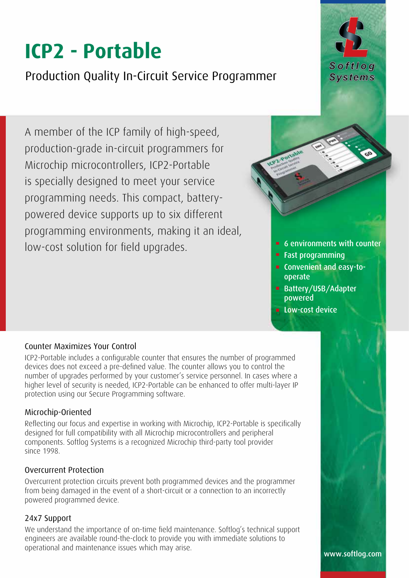# **ICP2 - Portable**

Production Quality In-Circuit Service Programmer

A member of the ICP family of high-speed, production-grade in-circuit programmers for Microchip microcontrollers, ICP2-Portable is specially designed to meet your service programming needs. This compact, batterypowered device supports up to six different programming environments, making it an ideal, low-cost solution for field upgrades.

#### Counter Maximizes Your Control

ICP2-Portable includes a configurable counter that ensures the number of programmed devices does not exceed a pre-defined value. The counter allows you to control the number of upgrades performed by your customer's service personnel. In cases where a higher level of security is needed, ICP2-Portable can be enhanced to offer multi-layer IP protection using our Secure Programming software.

#### Microchip-Oriented

Reflecting our focus and expertise in working with Microchip, ICP2-Portable is specifically designed for full compatibility with all Microchip microcontrollers and peripheral components. Softlog Systems is a recognized Microchip third-party tool provider since 1998.

#### Overcurrent Protection

Overcurrent protection circuits prevent both programmed devices and the programmer from being damaged in the event of a short-circuit or a connection to an incorrectly powered programmed device.

#### 24x7 Support

We understand the importance of on-time field maintenance. Softlog's technical support engineers are available round-the-clock to provide you with immediate solutions to operational and maintenance issues which may arise.



■ Fast programming

ICP2-Port

- Convenient and easy-tooperate
- **Battery/USB/Adapter** powered
- **Low-cost device**



www.softlog.com